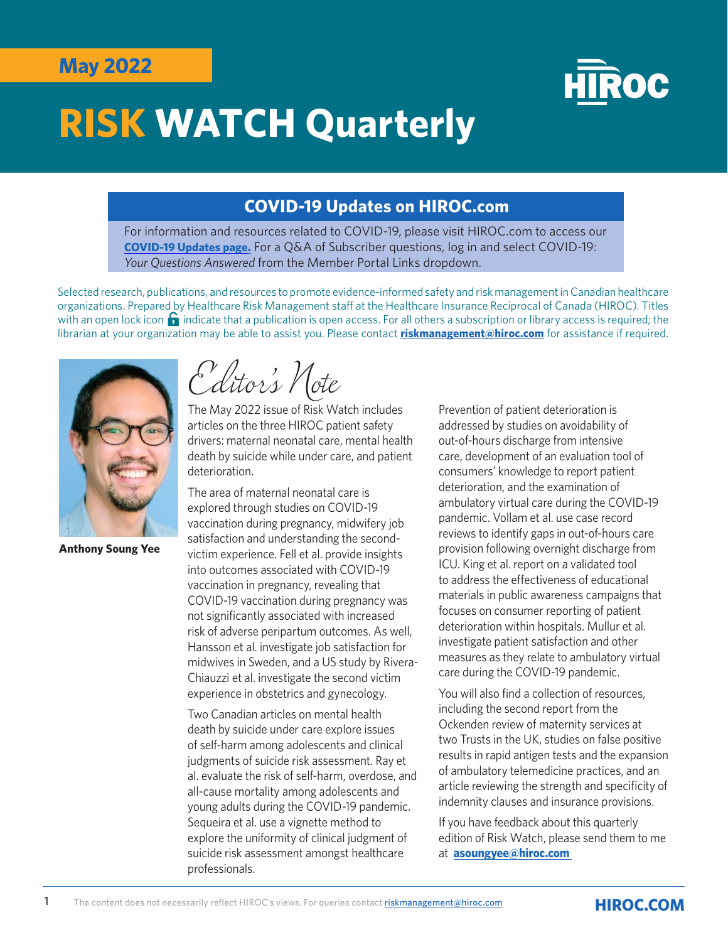### **May 2022**



# **RISK WATCH Quarterly**

### **COVID-19 Updates on HIROC.com**

For information and resources related to COVID-19, please visit HIROC.com to access our **[COVID-19 Updates page](https://www.hiroc.com/risk-management/covid-19-updates).** For a Q&A of Subscriber questions, log in and select COVID-19: *Your Questions Answered* from the Member Portal Links dropdown.

Selected research, publications, and resources to promote evidence-informed safety and risk management in Canadian healthcare organizations. Prepared by Healthcare Risk Management staff at the Healthcare Insurance Reciprocal of Canada (HIROC). Titles with an open lock icon  $\Omega$  indicate that a publication is open access. For all others a subscription or library access is required; the librarian at your organization may be able to assist you. Please contact **[riskmanagement@hiroc.com](mailto:riskmanagement%40hiroc.com?subject=)** for assistance if required.



**Anthony Soung Yee**

*Editor's Note*

The May 2022 issue of Risk Watch includes articles on the three HIROC patient safety drivers: maternal neonatal care, mental health death by suicide while under care, and patient deterioration.

The area of maternal neonatal care is explored through studies on COVID-19 vaccination during pregnancy, midwifery job satisfaction and understanding the secondvictim experience. Fell et al. provide insights into outcomes associated with COVID-19 vaccination in pregnancy, revealing that COVID-19 vaccination during pregnancy was not significantly associated with increased risk of adverse peripartum outcomes. As well, Hansson et al. investigate job satisfaction for midwives in Sweden, and a US study by Rivera-Chiauzzi et al. investigate the second victim experience in obstetrics and gynecology.

Two Canadian articles on mental health death by suicide under care explore issues of self-harm among adolescents and clinical judgments of suicide risk assessment. Ray et al. evaluate the risk of self-harm, overdose, and all-cause mortality among adolescents and young adults during the COVID-19 pandemic. Sequeira et al. use a vignette method to explore the uniformity of clinical judgment of suicide risk assessment amongst healthcare professionals.

Prevention of patient deterioration is addressed by studies on avoidability of out-of-hours discharge from intensive care, development of an evaluation tool of consumers' knowledge to report patient deterioration, and the examination of ambulatory virtual care during the COVID-19 pandemic. Vollam et al. use case record reviews to identify gaps in out-of-hours care provision following overnight discharge from ICU. King et al. report on a validated tool to address the effectiveness of educational materials in public awareness campaigns that focuses on consumer reporting of patient deterioration within hospitals. Mullur et al. investigate patient satisfaction and other measures as they relate to ambulatory virtual care during the COVID-19 pandemic.

You will also find a collection of resources, including the second report from the Ockenden review of maternity services at two Trusts in the UK, studies on false positive results in rapid antigen tests and the expansion of ambulatory telemedicine practices, and an article reviewing the strength and specificity of indemnity clauses and insurance provisions.

If you have feedback about this quarterly edition of Risk Watch, please send them to me at **asoungyee@hiroc.com**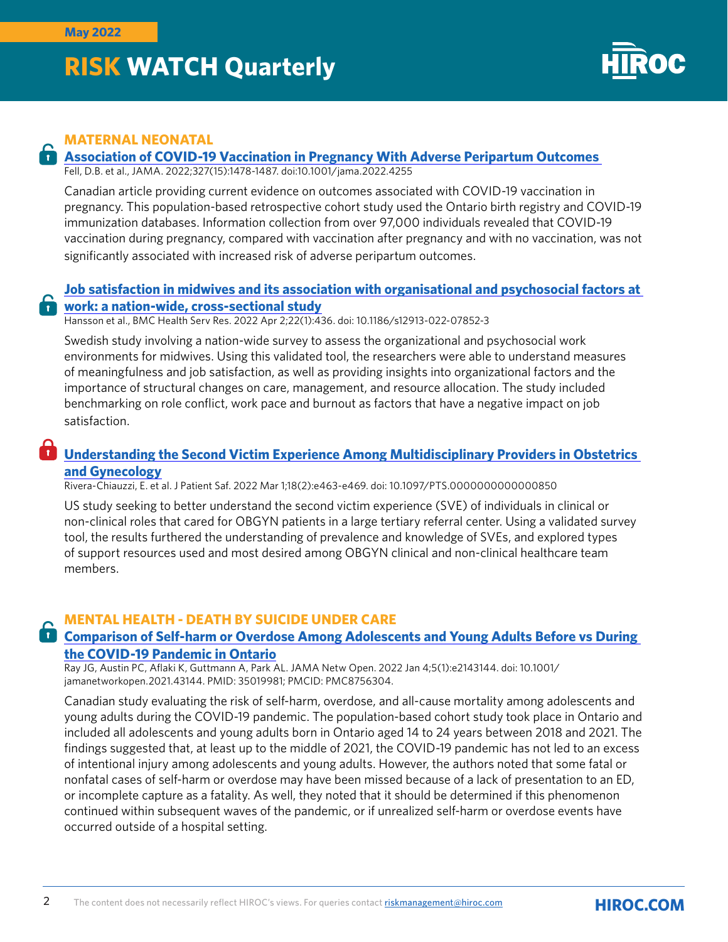A

A

# **RISK WATCH Quarterly**



#### **MATERNAL NEONATAL**

#### **[Association of COVID-19 Vaccination in Pregnancy With Adverse Peripartum Outcomes](https://pubmed.ncbi.nlm.nih.gov/35323842/)**

Fell, D.B. et al., JAMA. 2022;327(15):1478-1487. doi:10.1001/jama.2022.4255

Canadian article providing current evidence on outcomes associated with COVID-19 vaccination in pregnancy. This population-based retrospective cohort study used the Ontario birth registry and COVID-19 immunization databases. Information collection from over 97,000 individuals revealed that COVID-19 vaccination during pregnancy, compared with vaccination after pregnancy and with no vaccination, was not significantly associated with increased risk of adverse peripartum outcomes.

#### **[Job satisfaction in midwives and its association with organisational and psychosocial factors at](https://pubmed.ncbi.nlm.nih.gov/35366877/)  [work: a nation-wide, cross-sectional study](https://pubmed.ncbi.nlm.nih.gov/35366877/)**

Hansson et al., BMC Health Serv Res. 2022 Apr 2;22(1):436. doi: 10.1186/s12913-022-07852-3

Swedish study involving a nation-wide survey to assess the organizational and psychosocial work environments for midwives. Using this validated tool, the researchers were able to understand measures of meaningfulness and job satisfaction, as well as providing insights into organizational factors and the importance of structural changes on care, management, and resource allocation. The study included benchmarking on role conflict, work pace and burnout as factors that have a negative impact on job satisfaction.

#### 8 **[Understanding the Second Victim Experience Among Multidisciplinary Providers in Obstetrics](https://pubmed.ncbi.nlm.nih.gov/33871416/)  [and Gynecology](https://pubmed.ncbi.nlm.nih.gov/33871416/)**

Rivera-Chiauzzi, E. et al. J Patient Saf. 2022 Mar 1;18(2):e463-e469. doi: 10.1097/PTS.0000000000000850

US study seeking to better understand the second victim experience (SVE) of individuals in clinical or non-clinical roles that cared for OBGYN patients in a large tertiary referral center. Using a validated survey tool, the results furthered the understanding of prevalence and knowledge of SVEs, and explored types of support resources used and most desired among OBGYN clinical and non-clinical healthcare team members.

#### **MENTAL HEALTH - DEATH BY SUICIDE UNDER CARE**

#### **[Comparison of Self-harm or Overdose Among Adolescents and Young Adults Before vs During](https://pubmed.ncbi.nlm.nih.gov/35019981/)  [the COVID-19 Pandemic in Ontario](https://pubmed.ncbi.nlm.nih.gov/35019981/)**

Ray JG, Austin PC, Aflaki K, Guttmann A, Park AL. JAMA Netw Open. 2022 Jan 4;5(1):e2143144. doi: 10.1001/ jamanetworkopen.2021.43144. PMID: 35019981; PMCID: PMC8756304.

Canadian study evaluating the risk of self-harm, overdose, and all-cause mortality among adolescents and young adults during the COVID-19 pandemic. The population-based cohort study took place in Ontario and included all adolescents and young adults born in Ontario aged 14 to 24 years between 2018 and 2021. The findings suggested that, at least up to the middle of 2021, the COVID-19 pandemic has not led to an excess of intentional injury among adolescents and young adults. However, the authors noted that some fatal or nonfatal cases of self-harm or overdose may have been missed because of a lack of presentation to an ED, or incomplete capture as a fatality. As well, they noted that it should be determined if this phenomenon continued within subsequent waves of the pandemic, or if unrealized self-harm or overdose events have occurred outside of a hospital setting.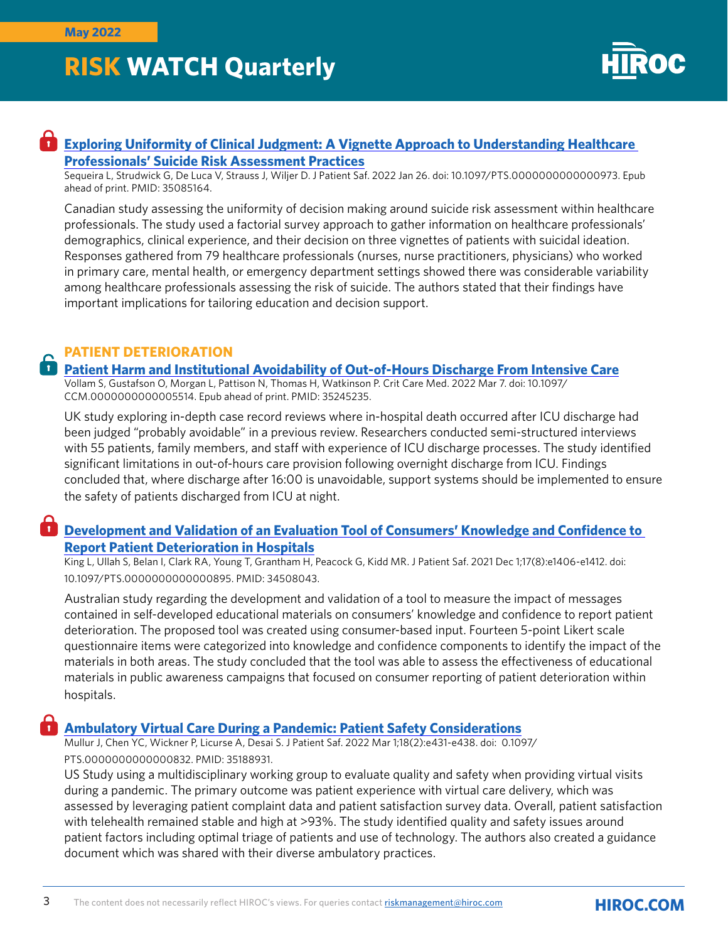## **RISK WATCH Quarterly**



#### **Exploring Uniformity of Clinical Judgment: A Vignette Approach to Understanding Healthcare [Professionals' Suicide Risk Assessment Practices](https://pubmed.ncbi.nlm.nih.gov/35085164/)**

Sequeira L, Strudwick G, De Luca V, Strauss J, Wiljer D. J Patient Saf. 2022 Jan 26. doi: 10.1097/PTS.0000000000000973. Epub ahead of print. PMID: 35085164.

Canadian study assessing the uniformity of decision making around suicide risk assessment within healthcare professionals. The study used a factorial survey approach to gather information on healthcare professionals' demographics, clinical experience, and their decision on three vignettes of patients with suicidal ideation. Responses gathered from 79 healthcare professionals (nurses, nurse practitioners, physicians) who worked in primary care, mental health, or emergency department settings showed there was considerable variability among healthcare professionals assessing the risk of suicide. The authors stated that their findings have important implications for tailoring education and decision support.

#### **PATIENT DETERIORATION**

**[Patient Harm and Institutional Avoidability of Out-of-Hours Discharge From Intensive Care](https://pubmed.ncbi.nlm.nih.gov/35245235/)**

Vollam S, Gustafson O, Morgan L, Pattison N, Thomas H, Watkinson P. Crit Care Med. 2022 Mar 7. doi: 10.1097/ CCM.0000000000005514. Epub ahead of print. PMID: 35245235.

UK study exploring in-depth case record reviews where in-hospital death occurred after ICU discharge had been judged "probably avoidable" in a previous review. Researchers conducted semi-structured interviews with 55 patients, family members, and staff with experience of ICU discharge processes. The study identified significant limitations in out-of-hours care provision following overnight discharge from ICU. Findings concluded that, where discharge after 16:00 is unavoidable, support systems should be implemented to ensure the safety of patients discharged from ICU at night.

**D** Development and Validation of an Evaluation Tool of Consumers' Knowledge and Confidence to **[Report Patient Deterioration in Hospitals](https://pubmed.ncbi.nlm.nih.gov/34508043/)**

King L, Ullah S, Belan I, Clark RA, Young T, Grantham H, Peacock G, Kidd MR. J Patient Saf. 2021 Dec 1;17(8):e1406-e1412. doi: 10.1097/PTS.0000000000000895. PMID: 34508043.

Australian study regarding the development and validation of a tool to measure the impact of messages contained in self-developed educational materials on consumers' knowledge and confidence to report patient deterioration. The proposed tool was created using consumer-based input. Fourteen 5-point Likert scale questionnaire items were categorized into knowledge and confidence components to identify the impact of the materials in both areas. The study concluded that the tool was able to assess the effectiveness of educational materials in public awareness campaigns that focused on consumer reporting of patient deterioration within hospitals.

#### **[Ambulatory Virtual Care During a Pandemic: Patient Safety Considerations](https://pubmed.ncbi.nlm.nih.gov/35188931/)**

Mullur J, Chen YC, Wickner P, Licurse A, Desai S. J Patient Saf. 2022 Mar 1;18(2):e431-e438. doi: 0.1097/ PTS.0000000000000832. PMID: 35188931.

US Study using a multidisciplinary working group to evaluate quality and safety when providing virtual visits during a pandemic. The primary outcome was patient experience with virtual care delivery, which was assessed by leveraging patient complaint data and patient satisfaction survey data. Overall, patient satisfaction with telehealth remained stable and high at >93%. The study identified quality and safety issues around patient factors including optimal triage of patients and use of technology. The authors also created a guidance document which was shared with their diverse ambulatory practices.